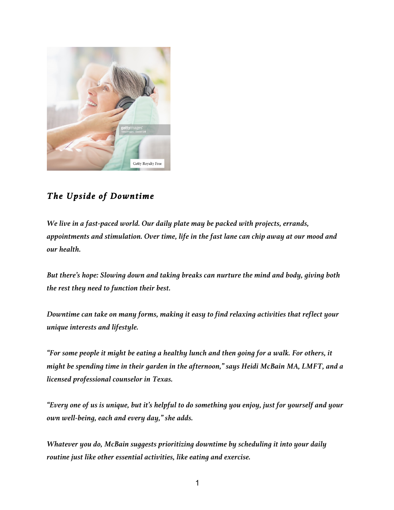

# *The Upside of Downtime*

*We live in a fast-paced world. Our daily plate may be packed with projects, errands, appointments and stimulation. Over time, life in the fast lane can chip away at our mood and our health.*

*But there's hope: Slowing down and taking breaks can nurture the mind and body, giving both the rest they need to function their best.* 

*Downtime can take on many forms, making it easy to find relaxing activities that reflect your unique interests and lifestyle.*

*"For some people it might be eating a healthy lunch and then going for a walk. For others, it might be spending time in their garden in the afternoon," says Heidi McBain MA, LMFT, and a licensed professional counselor in Texas.* 

*"Every one of us is unique, but it's helpful to do something you enjoy, just for yourself and your own well-being, each and every day," she adds.*

*Whatever you do, McBain suggests prioritizing downtime by scheduling it into your daily routine just like other essential activities, like eating and exercise.*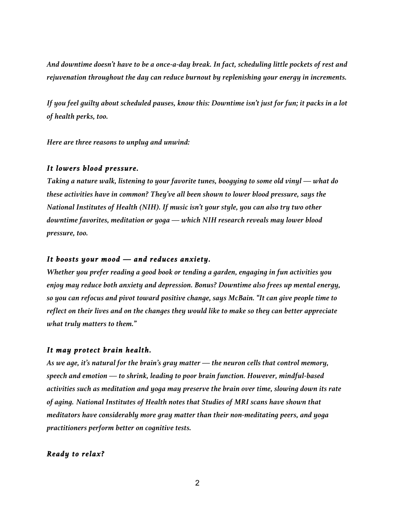*And downtime doesn't have to be a once-a-day break. In fact, scheduling little pockets of rest and rejuvenation throughout the day can reduce burnout by replenishing your energy in increments.*

*If you feel guilty about scheduled pauses, know this: Downtime isn't just for fun; it packs in a lot of health perks, too.* 

*Here are three reasons to unplug and unwind:* 

#### *It lowers blood pressure.*

*Taking a nature walk, listening to your favorite tunes, boogying to some old vinyl — what do these activities have in common? They've all been shown to lower blood pressure, says the National Institutes of Health (NIH). If music isn't your style, you can also try two other downtime favorites, meditation or yoga — which NIH research reveals may lower blood pressure, too.*

#### *It boosts your mood — and reduces anxiety.*

*Whether you prefer reading a good book or tending a garden, engaging in fun activities you enjoy may reduce both anxiety and depression. Bonus? Downtime also frees up mental energy, so you can refocus and pivot toward positive change, says McBain. "It can give people time to reflect on their lives and on the changes they would like to make so they can better appreciate what truly matters to them."*

## *It may protect brain health.*

*As we age, it's natural for the brain's gray matter — the neuron cells that control memory, speech and emotion — to shrink, leading to poor brain function. However, mindful-based activities such as meditation and yoga may preserve the brain over time, slowing down its rate of aging. National Institutes of Health notes that Studies of MRI scans have shown that meditators have considerably more gray matter than their non-meditating peers, and yoga practitioners perform better on cognitive tests.*

### *Ready to relax?*